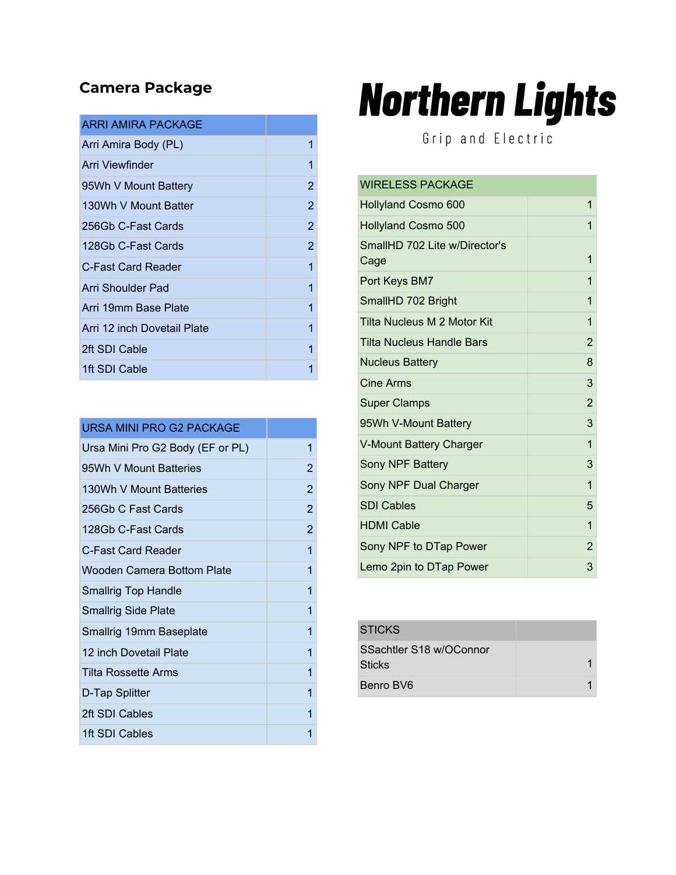## **Camera Package**

| 1<br>Arri Amira Body (PL)<br>Arri Viewfinder<br>1<br>95Wh V Mount Battery<br>130Wh V Mount Batter<br>256Gb C-Fast Cards<br>128Gb C-Fast Cards<br>1<br>C-Fast Card Reader<br>Arri Shoulder Pad<br>1<br>Arri 19mm Base Plate<br>1<br>Arri 12 inch Dovetail Plate<br>1<br>2ft SDI Cable<br>1<br>1ft SDI Cable<br>1 | ARRI AMIRA PACKAGE |                |
|-----------------------------------------------------------------------------------------------------------------------------------------------------------------------------------------------------------------------------------------------------------------------------------------------------------------|--------------------|----------------|
|                                                                                                                                                                                                                                                                                                                 |                    |                |
|                                                                                                                                                                                                                                                                                                                 |                    |                |
|                                                                                                                                                                                                                                                                                                                 |                    | $\overline{2}$ |
|                                                                                                                                                                                                                                                                                                                 |                    | 2              |
|                                                                                                                                                                                                                                                                                                                 |                    | 2              |
|                                                                                                                                                                                                                                                                                                                 |                    | 2              |
|                                                                                                                                                                                                                                                                                                                 |                    |                |
|                                                                                                                                                                                                                                                                                                                 |                    |                |
|                                                                                                                                                                                                                                                                                                                 |                    |                |
|                                                                                                                                                                                                                                                                                                                 |                    |                |
|                                                                                                                                                                                                                                                                                                                 |                    |                |
|                                                                                                                                                                                                                                                                                                                 |                    |                |

| URSA MINI PRO G2 PACKAGE         |                |
|----------------------------------|----------------|
| Ursa Mini Pro G2 Body (EF or PL) | 1              |
| 95Wh V Mount Batteries           | 2              |
| 130Wh V Mount Batteries          | 2              |
| 256Gb C Fast Cards               | $\overline{2}$ |
| 128Gb C-Fast Cards               | 2              |
| C-Fast Card Reader               | 1              |
| Wooden Camera Bottom Plate       | 1              |
| <b>Smallrig Top Handle</b>       | 1              |
| <b>Smallrig Side Plate</b>       | 1              |
| Smallrig 19mm Baseplate          | 1              |
| 12 inch Dovetail Plate           | 1              |
| Tilta Rossette Arms              | 1              |
| D-Tap Splitter                   | 1              |
| 2ft SDI Cables                   | 1              |
| 1ft SDI Cables                   | 1              |

## **Northern Lights**

Grip and Electric

| <b>WIRELESS PACKAGE</b>               |                |
|---------------------------------------|----------------|
| <b>Hollyland Cosmo 600</b>            | 1              |
| Hollyland Cosmo 500                   | 1              |
| SmallHD 702 Lite w/Director's<br>Cage | 1              |
| Port Keys BM7                         | 1              |
| SmallHD 702 Bright                    | 1              |
| Tilta Nucleus M 2 Motor Kit           | 1              |
| <b>Tilta Nucleus Handle Bars</b>      | $\overline{2}$ |
| <b>Nucleus Battery</b>                | 8              |
| <b>Cine Arms</b>                      | 3              |
| <b>Super Clamps</b>                   | $\overline{2}$ |
| 95Wh V-Mount Battery                  | 3              |
| V-Mount Battery Charger               | $\overline{1}$ |
| Sony NPF Battery                      | 3              |
| Sony NPF Dual Charger                 | 1              |
| <b>SDI Cables</b>                     | 5              |
| <b>HDMI Cable</b>                     | $\mathbf{1}$   |
| Sony NPF to DTap Power                | $\overline{2}$ |
| Lemo 2pin to DTap Power               | 3              |

| <b>STICKS</b>                            |  |
|------------------------------------------|--|
| SSachtler S18 w/OConnor<br><b>Sticks</b> |  |
| Benro BV6                                |  |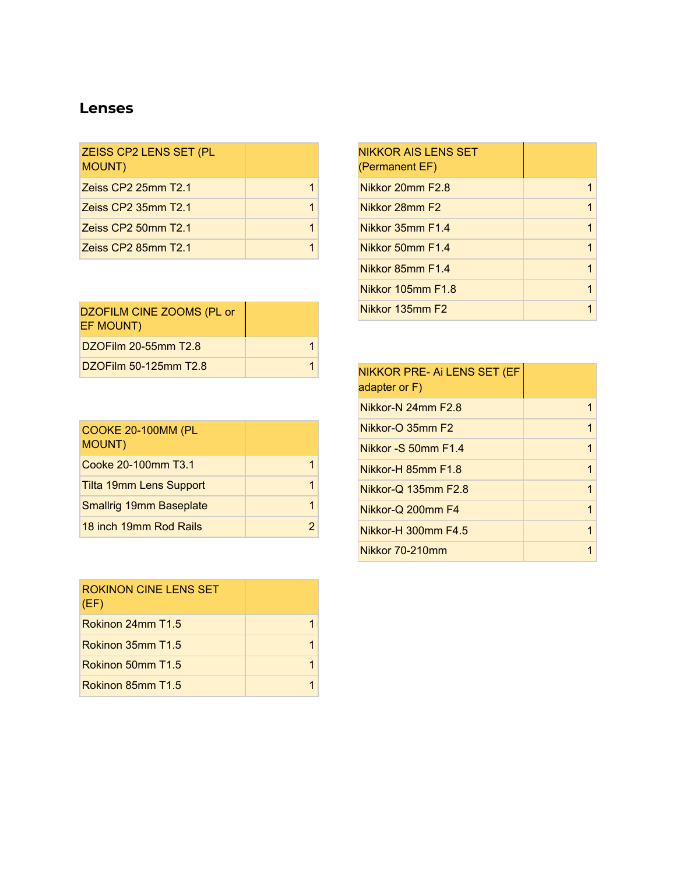## **Lenses**

| ZEISS CP2 LENS SET (PL<br><b>MOUNT)</b> |  |
|-----------------------------------------|--|
| Zeiss CP2 25mm T2.1                     |  |
| Zeiss CP2 35mm T2.1                     |  |
| Zeiss CP2 50mm T2.1                     |  |
| Zeiss CP2 85mm T2.1                     |  |

| DZOFILM CINE ZOOMS (PL or<br>EF MOUNT) |  |
|----------------------------------------|--|
| DZOFilm 20-55mm T2.8                   |  |
| DZOFilm 50-125mm T2.8                  |  |

| <b>COOKE 20-100MM (PL</b><br><b>MOUNT)</b> |  |
|--------------------------------------------|--|
| Cooke 20-100mm T3.1                        |  |
| <b>Tilta 19mm Lens Support</b>             |  |
| <b>Smallrig 19mm Baseplate</b>             |  |
| 18 inch 19mm Rod Rails                     |  |

| <b>ROKINON CINE LENS SET</b><br>(EF) |  |
|--------------------------------------|--|
| Rokinon 24mm T1.5                    |  |
| Rokinon 35mm T1.5                    |  |
| Rokinon 50mm T <sub>1.5</sub>        |  |
| Rokinon 85mm T1.5                    |  |

| <b>NIKKOR AIS LENS SET</b><br>(Permanent EF) |   |
|----------------------------------------------|---|
| Nikkor 20mm F2.8                             |   |
| Nikkor 28mm F2                               | 1 |
| Nikkor 35mm F1.4                             | 1 |
| Nikkor 50mm F1.4                             | 1 |
| Nikkor 85mm F1.4                             | 1 |
| Nikkor 105mm F1.8                            | 1 |
| Nikkor 135mm F2                              |   |

| NIKKOR PRE- Ai LENS SET (EF<br>adapter or F) |   |
|----------------------------------------------|---|
| Nikkor-N 24mm F2.8                           | 1 |
| Nikkor-O 35mm F2                             | 1 |
| Nikkor - $S$ 50mm $F1.4$                     | 1 |
| Nikkor-H 85mm F1.8                           | 1 |
| Nikkor-Q 135mm F2.8                          | 1 |
| Nikkor-Q 200mm F4                            | 1 |
| Nikkor-H 300mm F4.5                          | 1 |
| Nikkor 70-210mm                              |   |